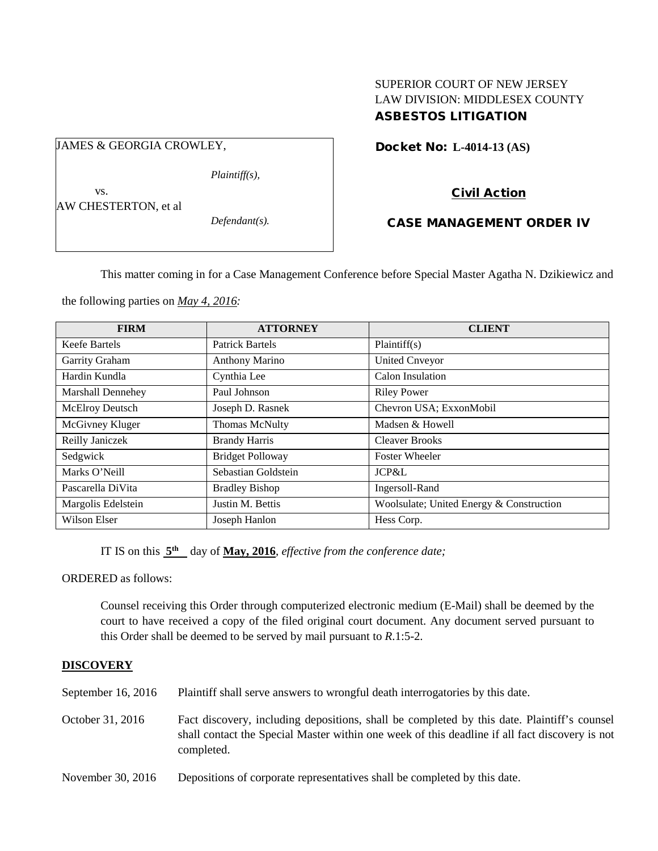# SUPERIOR COURT OF NEW JERSEY LAW DIVISION: MIDDLESEX COUNTY ASBESTOS LITIGATION

Docket No: **L-4014-13 (AS)** 

Civil Action

## CASE MANAGEMENT ORDER IV

This matter coming in for a Case Management Conference before Special Master Agatha N. Dzikiewicz and

the following parties on *May 4, 2016:*

| <b>FIRM</b>          | <b>ATTORNEY</b>         | <b>CLIENT</b>                            |
|----------------------|-------------------------|------------------------------------------|
| <b>Keefe Bartels</b> | <b>Patrick Bartels</b>  | Plaintiff(s)                             |
| Garrity Graham       | Anthony Marino          | <b>United Cnveyor</b>                    |
| Hardin Kundla        | Cynthia Lee             | Calon Insulation                         |
| Marshall Dennehey    | Paul Johnson            | <b>Riley Power</b>                       |
| McElroy Deutsch      | Joseph D. Rasnek        | Chevron USA; ExxonMobil                  |
| McGivney Kluger      | Thomas McNulty          | Madsen & Howell                          |
| Reilly Janiczek      | <b>Brandy Harris</b>    | <b>Cleaver Brooks</b>                    |
| Sedgwick             | <b>Bridget Polloway</b> | <b>Foster Wheeler</b>                    |
| Marks O'Neill        | Sebastian Goldstein     | JCP&L                                    |
| Pascarella DiVita    | <b>Bradley Bishop</b>   | Ingersoll-Rand                           |
| Margolis Edelstein   | Justin M. Bettis        | Woolsulate; United Energy & Construction |
| Wilson Elser         | Joseph Hanlon           | Hess Corp.                               |

IT IS on this **5th** day of **May, 2016**, *effective from the conference date;*

ORDERED as follows:

Counsel receiving this Order through computerized electronic medium (E-Mail) shall be deemed by the court to have received a copy of the filed original court document. Any document served pursuant to this Order shall be deemed to be served by mail pursuant to *R*.1:5-2.

## **DISCOVERY**

September 16, 2016 Plaintiff shall serve answers to wrongful death interrogatories by this date.

October 31, 2016 Fact discovery, including depositions, shall be completed by this date. Plaintiff's counsel shall contact the Special Master within one week of this deadline if all fact discovery is not completed.

November 30, 2016 Depositions of corporate representatives shall be completed by this date.

JAMES & GEORGIA CROWLEY,

vs.

AW CHESTERTON, et al

*Plaintiff(s),*

*Defendant(s).*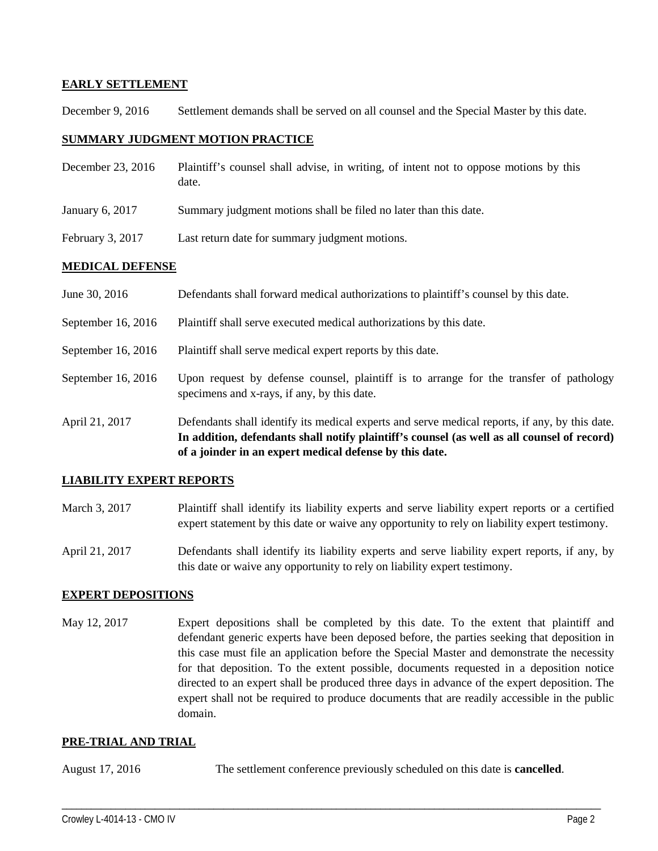## **EARLY SETTLEMENT**

December 9, 2016 Settlement demands shall be served on all counsel and the Special Master by this date.

## **SUMMARY JUDGMENT MOTION PRACTICE**

| December 23, 2016 | Plaintiff's counsel shall advise, in writing, of intent not to oppose motions by this |
|-------------------|---------------------------------------------------------------------------------------|
|                   | date.                                                                                 |

- January 6, 2017 Summary judgment motions shall be filed no later than this date.
- February 3, 2017 Last return date for summary judgment motions.

## **MEDICAL DEFENSE**

- June 30, 2016 Defendants shall forward medical authorizations to plaintiff's counsel by this date.
- September 16, 2016 Plaintiff shall serve executed medical authorizations by this date.
- September 16, 2016 Plaintiff shall serve medical expert reports by this date.
- September 16, 2016 Upon request by defense counsel, plaintiff is to arrange for the transfer of pathology specimens and x-rays, if any, by this date.
- April 21, 2017 Defendants shall identify its medical experts and serve medical reports, if any, by this date. **In addition, defendants shall notify plaintiff's counsel (as well as all counsel of record) of a joinder in an expert medical defense by this date.**

## **LIABILITY EXPERT REPORTS**

- March 3, 2017 Plaintiff shall identify its liability experts and serve liability expert reports or a certified expert statement by this date or waive any opportunity to rely on liability expert testimony.
- April 21, 2017 Defendants shall identify its liability experts and serve liability expert reports, if any, by this date or waive any opportunity to rely on liability expert testimony.

## **EXPERT DEPOSITIONS**

May 12, 2017 Expert depositions shall be completed by this date. To the extent that plaintiff and defendant generic experts have been deposed before, the parties seeking that deposition in this case must file an application before the Special Master and demonstrate the necessity for that deposition. To the extent possible, documents requested in a deposition notice directed to an expert shall be produced three days in advance of the expert deposition. The expert shall not be required to produce documents that are readily accessible in the public domain.

## **PRE-TRIAL AND TRIAL**

August 17, 2016 The settlement conference previously scheduled on this date is **cancelled**.

\_\_\_\_\_\_\_\_\_\_\_\_\_\_\_\_\_\_\_\_\_\_\_\_\_\_\_\_\_\_\_\_\_\_\_\_\_\_\_\_\_\_\_\_\_\_\_\_\_\_\_\_\_\_\_\_\_\_\_\_\_\_\_\_\_\_\_\_\_\_\_\_\_\_\_\_\_\_\_\_\_\_\_\_\_\_\_\_\_\_\_\_\_\_\_\_\_\_\_\_\_\_\_\_\_\_\_\_\_\_